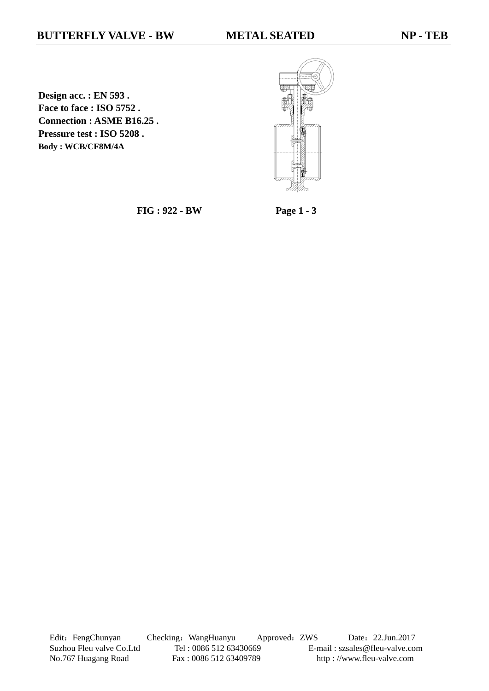**Design acc. : EN 593 . Face to face : ISO 5752 . Connection : ASME B16.25 . Pressure test : ISO 5208 . Body : WCB/CF8M/4A**



**FIG : 922 - BW Page 1 - 3**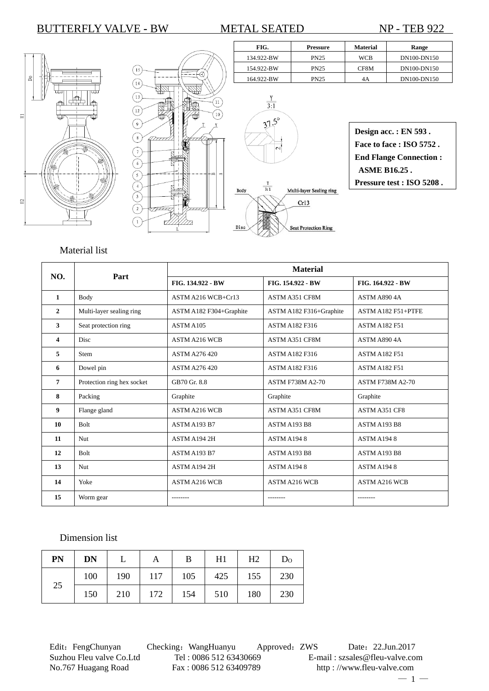FIG. Pressure Material Range







| Design acc.: EN 593.          |
|-------------------------------|
| Face to face : $ISO$ 5752.    |
| <b>End Flange Connection:</b> |
| <b>ASME B16.25.</b>           |
| Pressure test : ISO 5208.     |

# Material list

|     |                            | <b>Material</b>         |                         |                         |  |  |  |
|-----|----------------------------|-------------------------|-------------------------|-------------------------|--|--|--|
| NO. | Part                       | FIG. 134.922 - BW       | FIG. 154.922 - BW       | FIG. 164.922 - BW       |  |  |  |
| 1   | <b>Body</b>                | ASTM A216 WCB+Cr13      | ASTM A351 CF8M          | <b>ASTM A890 4A</b>     |  |  |  |
| 2   | Multi-layer sealing ring   | ASTM A182 F304+Graphite | ASTM A182 F316+Graphite | ASTM A182 F51+PTFE      |  |  |  |
| 3   | Seat protection ring       | ASTM A105               | <b>ASTM A182 F316</b>   | <b>ASTM A182 F51</b>    |  |  |  |
| 4   | <b>Disc</b>                | <b>ASTM A216 WCB</b>    | <b>ASTM A351 CF8M</b>   | <b>ASTM A890 4A</b>     |  |  |  |
| 5   | <b>Stem</b>                | ASTM A276 420           | <b>ASTM A182 F316</b>   | <b>ASTM A182 F51</b>    |  |  |  |
| 6   | Dowel pin                  | <b>ASTM A276 420</b>    | <b>ASTM A182 F316</b>   | <b>ASTM A182 F51</b>    |  |  |  |
| 7   | Protection ring hex socket | GB70 Gr. 8.8            | <b>ASTM F738M A2-70</b> | <b>ASTM F738M A2-70</b> |  |  |  |
| 8   | Packing                    | Graphite                | Graphite                | Graphite                |  |  |  |
| 9   | Flange gland               | <b>ASTM A216 WCB</b>    | <b>ASTM A351 CF8M</b>   | ASTM A351 CF8           |  |  |  |
| 10  | <b>Bolt</b>                | ASTM A193 B7            | ASTM A193 B8            | <b>ASTM A193 B8</b>     |  |  |  |
| 11  | Nut                        | ASTM A194 2H            | ASTM A1948              | ASTM A1948              |  |  |  |
| 12  | <b>Bolt</b>                | ASTM A193 B7            | ASTM A193 B8            | ASTM A193 B8            |  |  |  |
| 13  | <b>Nut</b>                 | ASTM A194 2H            | <b>ASTM A1948</b>       | <b>ASTM A1948</b>       |  |  |  |
| 14  | Yoke                       | <b>ASTM A216 WCB</b>    | <b>ASTM A216 WCB</b>    | <b>ASTM A216 WCB</b>    |  |  |  |
| 15  | Worm gear                  |                         |                         |                         |  |  |  |

### Dimension list

| PN | <b>DN</b> |     | Α   | B   | H1  | H2  | D <sub>0</sub> |
|----|-----------|-----|-----|-----|-----|-----|----------------|
| 25 | 100       | 190 | 117 | 105 | 425 | 155 | 230            |
|    | 150       | 210 | 172 | 154 | 510 | 180 | 230            |

Edit: FengChunyan Checking: WangHuanyu Approved: ZWS Date: 22.Jun.2017 Suzhou Fleu valve Co.Ltd Tel : 0086 512 63430669 E-mail : szsales@fleu-valve.com<br>No.767 Huagang Road Fax : 0086 512 63409789 http : //www.fleu-valve.com

http : //www.fleu-valve.com

 $-1-$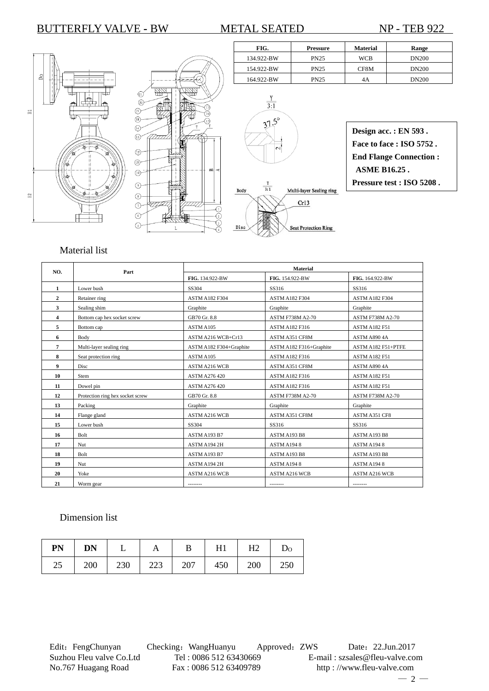FIG. Pressure Material Range







| Design acc.: EN 593.          |
|-------------------------------|
| Face to face: ISO 5752.       |
| <b>End Flange Connection:</b> |
| <b>ASME B16.25.</b>           |
| Pressure test : ISO 5208.     |

## Material list

| NO.            | Part                             | <b>Material</b>         |                         |                         |  |  |
|----------------|----------------------------------|-------------------------|-------------------------|-------------------------|--|--|
|                |                                  | FIG. 134.922-BW         | FIG. 154.922-BW         | FIG. 164.922-BW         |  |  |
| 1              | Lower bush                       | SS304                   | SS316                   | SS316                   |  |  |
| $\overline{2}$ | Retainer ring                    | <b>ASTM A182 F304</b>   | <b>ASTM A182 F304</b>   | <b>ASTM A182 F304</b>   |  |  |
| 3              | Sealing shim                     | Graphite                | Graphite                | Graphite                |  |  |
| 4              | Bottom cap hex socket screw      | GB70 Gr. 8.8            | <b>ASTM F738M A2-70</b> | <b>ASTM F738M A2-70</b> |  |  |
| 5              | Bottom cap                       | ASTM A105               | <b>ASTM A182 F316</b>   | <b>ASTM A182 F51</b>    |  |  |
| 6              | Body                             | ASTM A216 WCB+Cr13      | <b>ASTM A351 CF8M</b>   | ASTM A890 4A            |  |  |
| 7              | Multi-layer sealing ring         | ASTM A182 F304+Graphite | ASTM A182 F316+Graphite | ASTM A182 F51+PTFE      |  |  |
| 8              | Seat protection ring             | ASTM A105               | <b>ASTM A182 F316</b>   | <b>ASTM A182 F51</b>    |  |  |
| 9              | <b>Disc</b>                      | <b>ASTM A216 WCB</b>    | ASTM A351 CF8M          | ASTM A890 4A            |  |  |
| 10             | Stem                             | <b>ASTM A276 420</b>    | <b>ASTM A182 F316</b>   | <b>ASTM A182 F51</b>    |  |  |
| 11             | Dowel pin                        | <b>ASTM A276 420</b>    | ASTM A182 F316          | <b>ASTM A182 F51</b>    |  |  |
| 12             | Protection ring hex socket screw | GB70 Gr. 8.8            | <b>ASTM F738M A2-70</b> | <b>ASTM F738M A2-70</b> |  |  |
| 13             | Packing                          | Graphite                | Graphite                | Graphite                |  |  |
| 14             | Flange gland                     | <b>ASTM A216 WCB</b>    | <b>ASTM A351 CF8M</b>   | ASTM A351 CF8           |  |  |
| 15             | Lower bush                       | SS304                   | SS316                   | SS316                   |  |  |
| 16             | Bolt                             | ASTM A193 B7            | ASTM A193 B8            | ASTM A193 B8            |  |  |
| 17             | Nut                              | ASTM A194 2H            | ASTM A1948              | ASTM A1948              |  |  |
| 18             | Bolt                             | ASTM A193 B7            | ASTM A193 B8            | ASTM A193 B8            |  |  |
| 19             | Nut                              | ASTM A194 2H            | ASTM A1948              | ASTM A1948              |  |  |
| 20             | Yoke                             | ASTM A216 WCB           | <b>ASTM A216 WCB</b>    | ASTM A216 WCB           |  |  |
| 21             | Worm gear                        | --------                | --------                | --------                |  |  |

## Dimension list

| PN | <b>DN</b> |     |     | B   | H1  | H <sub>2</sub> | $D_{\rm O}$ |
|----|-----------|-----|-----|-----|-----|----------------|-------------|
| 25 | 200       | 230 | 223 | 207 | 450 | 200            | 250         |

Edit: FengChunyan Checking: WangHuanyu Approved: ZWS Date: 22.Jun.2017 Suzhou Fleu valve Co.Ltd Tel : 0086 512 63430669 E-mail : szsales@fleu-valve.com<br>No.767 Huagang Road Fax : 0086 512 63409789 http : //www.fleu-valve.com

http : //www.fleu-valve.com  $-2-$